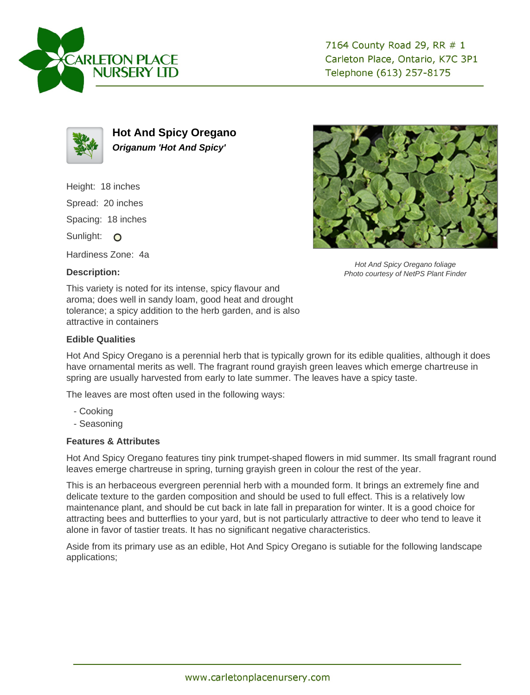



**Hot And Spicy Oregano Origanum 'Hot And Spicy'**

Height: 18 inches

Spread: 20 inches

Spacing: 18 inches

Sunlight: O

Hardiness Zone: 4a

## **Description:**



Hot And Spicy Oregano foliage Photo courtesy of NetPS Plant Finder

This variety is noted for its intense, spicy flavour and aroma; does well in sandy loam, good heat and drought tolerance; a spicy addition to the herb garden, and is also attractive in containers

## **Edible Qualities**

Hot And Spicy Oregano is a perennial herb that is typically grown for its edible qualities, although it does have ornamental merits as well. The fragrant round grayish green leaves which emerge chartreuse in spring are usually harvested from early to late summer. The leaves have a spicy taste.

The leaves are most often used in the following ways:

- Cooking
- Seasoning

## **Features & Attributes**

Hot And Spicy Oregano features tiny pink trumpet-shaped flowers in mid summer. Its small fragrant round leaves emerge chartreuse in spring, turning grayish green in colour the rest of the year.

This is an herbaceous evergreen perennial herb with a mounded form. It brings an extremely fine and delicate texture to the garden composition and should be used to full effect. This is a relatively low maintenance plant, and should be cut back in late fall in preparation for winter. It is a good choice for attracting bees and butterflies to your yard, but is not particularly attractive to deer who tend to leave it alone in favor of tastier treats. It has no significant negative characteristics.

Aside from its primary use as an edible, Hot And Spicy Oregano is sutiable for the following landscape applications;